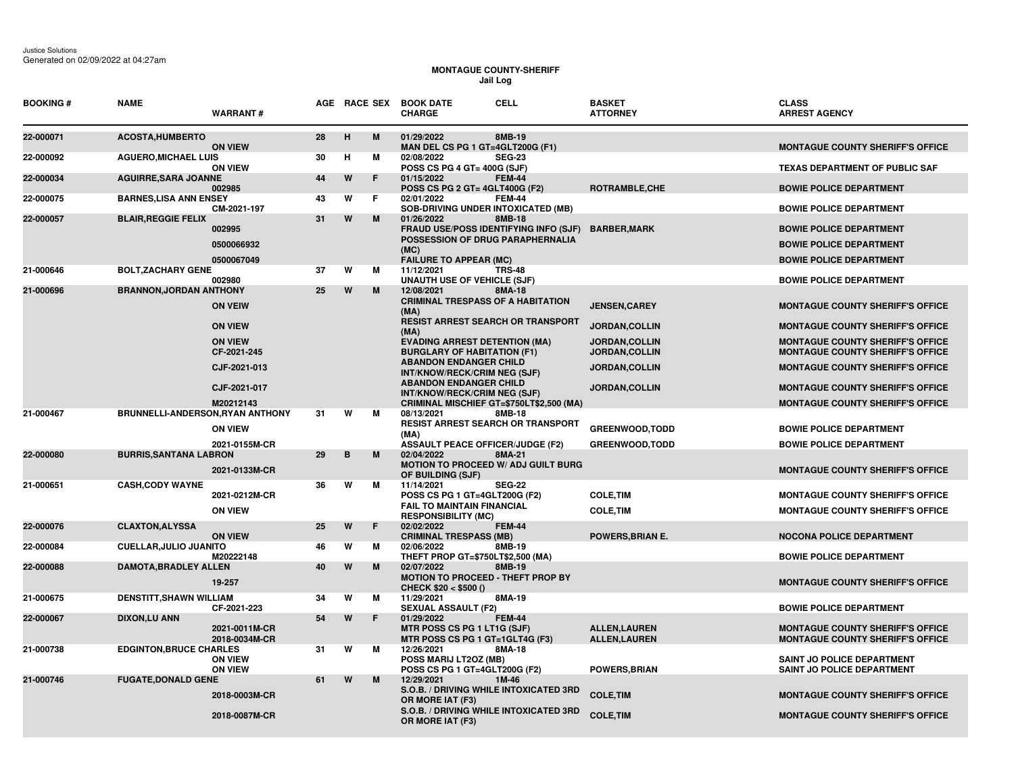## **MONTAGUE COUNTY-SHERIFF Jail Log**

| <b>BOOKING#</b> | <b>NAME</b>                             | <b>WARRANT#</b>                  |    |   |   | AGE RACE SEX BOOK DATE<br><b>CELL</b><br><b>CHARGE</b>                                            | <b>BASKET</b><br><b>ATTORNEY</b>               | <b>CLASS</b><br><b>ARREST AGENCY</b>                                               |
|-----------------|-----------------------------------------|----------------------------------|----|---|---|---------------------------------------------------------------------------------------------------|------------------------------------------------|------------------------------------------------------------------------------------|
| 22-000071       | <b>ACOSTA, HUMBERTO</b>                 | <b>ON VIEW</b>                   | 28 | H | M | 01/29/2022<br>8MB-19<br>MAN DEL CS PG 1 GT=4GLT200G (F1)                                          |                                                | <b>MONTAGUE COUNTY SHERIFF'S OFFICE</b>                                            |
| 22-000092       | <b>AGUERO, MICHAEL LUIS</b>             | <b>ON VIEW</b>                   | 30 | н | м | 02/08/2022<br><b>SEG-23</b><br>POSS CS PG 4 GT= 400G (SJF)                                        |                                                | <b>TEXAS DEPARTMENT OF PUBLIC SAF</b>                                              |
| 22-000034       | <b>AGUIRRE, SARA JOANNE</b>             | 002985                           | 44 | W | F | 01/15/2022<br><b>FEM-44</b><br>POSS CS PG 2 GT= 4GLT400G (F2)                                     | ROTRAMBLE, CHE                                 | <b>BOWIE POLICE DEPARTMENT</b>                                                     |
| 22-000075       | <b>BARNES, LISA ANN ENSEY</b>           | CM-2021-197                      | 43 | W | F | 02/01/2022<br><b>FEM-44</b><br><b>SOB-DRIVING UNDER INTOXICATED (MB)</b>                          |                                                | <b>BOWIE POLICE DEPARTMENT</b>                                                     |
| 22-000057       | <b>BLAIR, REGGIE FELIX</b>              | 002995                           | 31 | W | M | 01/26/2022<br>8MB-18<br>FRAUD USE/POSS IDENTIFYING INFO (SJF)<br>POSSESSION OF DRUG PARAPHERNALIA | <b>BARBER, MARK</b>                            | <b>BOWIE POLICE DEPARTMENT</b>                                                     |
|                 |                                         | 0500066932                       |    |   |   | (MC)                                                                                              |                                                | <b>BOWIE POLICE DEPARTMENT</b>                                                     |
| 21-000646       | <b>BOLT, ZACHARY GENE</b>               | 0500067049                       | 37 | W | м | <b>FAILURE TO APPEAR (MC)</b><br>11/12/2021<br><b>TRS-48</b>                                      |                                                | <b>BOWIE POLICE DEPARTMENT</b>                                                     |
|                 |                                         | 002980                           |    |   |   | <b>UNAUTH USE OF VEHICLE (SJF)</b>                                                                |                                                | <b>BOWIE POLICE DEPARTMENT</b>                                                     |
| 21-000696       | <b>BRANNON, JORDAN ANTHONY</b>          | <b>ON VEIW</b>                   | 25 | W | M | 12/08/2021<br>8MA-18<br><b>CRIMINAL TRESPASS OF A HABITATION</b><br>(MA)                          | <b>JENSEN, CAREY</b>                           | <b>MONTAGUE COUNTY SHERIFF'S OFFICE</b>                                            |
|                 |                                         | <b>ON VIEW</b>                   |    |   |   | <b>RESIST ARREST SEARCH OR TRANSPORT</b><br>(MA)                                                  | JORDAN, COLLIN                                 | MONTAGUE COUNTY SHERIFF'S OFFICE                                                   |
|                 |                                         | <b>ON VIEW</b><br>CF-2021-245    |    |   |   | <b>EVADING ARREST DETENTION (MA)</b><br><b>BURGLARY OF HABITATION (F1)</b>                        | <b>JORDAN, COLLIN</b><br><b>JORDAN, COLLIN</b> | <b>MONTAGUE COUNTY SHERIFF'S OFFICE</b><br><b>MONTAGUE COUNTY SHERIFF'S OFFICE</b> |
|                 |                                         | CJF-2021-013                     |    |   |   | <b>ABANDON ENDANGER CHILD</b><br>INT/KNOW/RECK/CRIM NEG (SJF)                                     | JORDAN, COLLIN                                 | <b>MONTAGUE COUNTY SHERIFF'S OFFICE</b>                                            |
|                 |                                         | CJF-2021-017                     |    |   |   | <b>ABANDON ENDANGER CHILD</b><br>INT/KNOW/RECK/CRIM NEG (SJF)                                     | JORDAN, COLLIN                                 | <b>MONTAGUE COUNTY SHERIFF'S OFFICE</b>                                            |
| 21-000467       | <b>BRUNNELLI-ANDERSON, RYAN ANTHONY</b> | M20212143                        | 31 | W | м | CRIMINAL MISCHIEF GT=\$750LT\$2,500 (MA)<br>08/13/2021<br><b>8MB-18</b>                           |                                                | <b>MONTAGUE COUNTY SHERIFF'S OFFICE</b>                                            |
|                 |                                         | <b>ON VIEW</b>                   |    |   |   | <b>RESIST ARREST SEARCH OR TRANSPORT</b><br>(MA)                                                  | <b>GREENWOOD, TODD</b>                         | <b>BOWIE POLICE DEPARTMENT</b>                                                     |
| 22-000080       | <b>BURRIS, SANTANA LABRON</b>           | 2021-0155M-CR                    | 29 | в | M | <b>ASSAULT PEACE OFFICER/JUDGE (F2)</b><br>02/04/2022<br>8MA-21                                   | <b>GREENWOOD,TODD</b>                          | <b>BOWIE POLICE DEPARTMENT</b>                                                     |
|                 |                                         | 2021-0133M-CR                    |    |   |   | <b>MOTION TO PROCEED W/ ADJ GUILT BURG</b><br>OF BUILDING (SJF)                                   |                                                | <b>MONTAGUE COUNTY SHERIFF'S OFFICE</b>                                            |
| 21-000651       | <b>CASH, CODY WAYNE</b>                 | 2021-0212M-CR                    | 36 | W | м | 11/14/2021<br><b>SEG-22</b><br>POSS CS PG 1 GT=4GLT200G (F2)<br><b>FAIL TO MAINTAIN FINANCIAL</b> | <b>COLE, TIM</b>                               | <b>MONTAGUE COUNTY SHERIFF'S OFFICE</b>                                            |
|                 |                                         | <b>ON VIEW</b>                   |    |   |   | <b>RESPONSIBILITY (MC)</b>                                                                        | <b>COLE, TIM</b>                               | <b>MONTAGUE COUNTY SHERIFF'S OFFICE</b>                                            |
| 22-000076       | <b>CLAXTON, ALYSSA</b>                  | <b>ON VIEW</b>                   | 25 | W | F | 02/02/2022<br><b>FEM-44</b><br><b>CRIMINAL TRESPASS (MB)</b>                                      | <b>POWERS, BRIAN E.</b>                        | NOCONA POLICE DEPARTMENT                                                           |
| 22-000084       | <b>CUELLAR, JULIO JUANITO</b>           | M20222148                        | 46 | W | м | 02/06/2022<br>8MB-19<br>THEFT PROP GT=\$750LT\$2,500 (MA)                                         |                                                | <b>BOWIE POLICE DEPARTMENT</b>                                                     |
| 22-000088       | <b>DAMOTA, BRADLEY ALLEN</b>            | 19-257                           | 40 | W | M | 02/07/2022<br>8MB-19<br><b>MOTION TO PROCEED - THEFT PROP BY</b><br>CHECK $$20 < $500()$          |                                                | <b>MONTAGUE COUNTY SHERIFF'S OFFICE</b>                                            |
| 21-000675       | <b>DENSTITT, SHAWN WILLIAM</b>          | CF-2021-223                      | 34 | W | м | 11/29/2021<br>8MA-19<br><b>SEXUAL ASSAULT (F2)</b>                                                |                                                | <b>BOWIE POLICE DEPARTMENT</b>                                                     |
| 22-000067       | <b>DIXON,LU ANN</b>                     | 2021-0011M-CR<br>2018-0034M-CR   | 54 | W | F | 01/29/2022<br><b>FEM-44</b><br>MTR POSS CS PG 1 LT1G (SJF)<br>MTR POSS CS PG 1 GT=1GLT4G (F3)     | <b>ALLEN, LAUREN</b><br><b>ALLEN, LAUREN</b>   | <b>MONTAGUE COUNTY SHERIFF'S OFFICE</b><br><b>MONTAGUE COUNTY SHERIFF'S OFFICE</b> |
| 21-000738       | <b>EDGINTON, BRUCE CHARLES</b>          | <b>ON VIEW</b><br><b>ON VIEW</b> | 31 | W | м | 12/26/2021<br>8MA-18<br>POSS MARIJ LT2OZ (MB)<br>POSS CS PG 1 GT=4GLT200G (F2)                    | POWERS, BRIAN                                  | SAINT JO POLICE DEPARTMENT<br>SAINT JO POLICE DEPARTMENT                           |
| 21-000746       | <b>FUGATE, DONALD GENE</b>              |                                  | 61 | W | M | 12/29/2021<br>1M-46                                                                               |                                                |                                                                                    |
|                 |                                         | 2018-0003M-CR                    |    |   |   | S.O.B. / DRIVING WHILE INTOXICATED 3RD<br>OR MORE IAT (F3)                                        | <b>COLE, TIM</b>                               | <b>MONTAGUE COUNTY SHERIFF'S OFFICE</b>                                            |
|                 |                                         | 2018-0087M-CR                    |    |   |   | S.O.B. / DRIVING WHILE INTOXICATED 3RD<br>OR MORE IAT (F3)                                        | <b>COLE, TIM</b>                               | <b>MONTAGUE COUNTY SHERIFF'S OFFICE</b>                                            |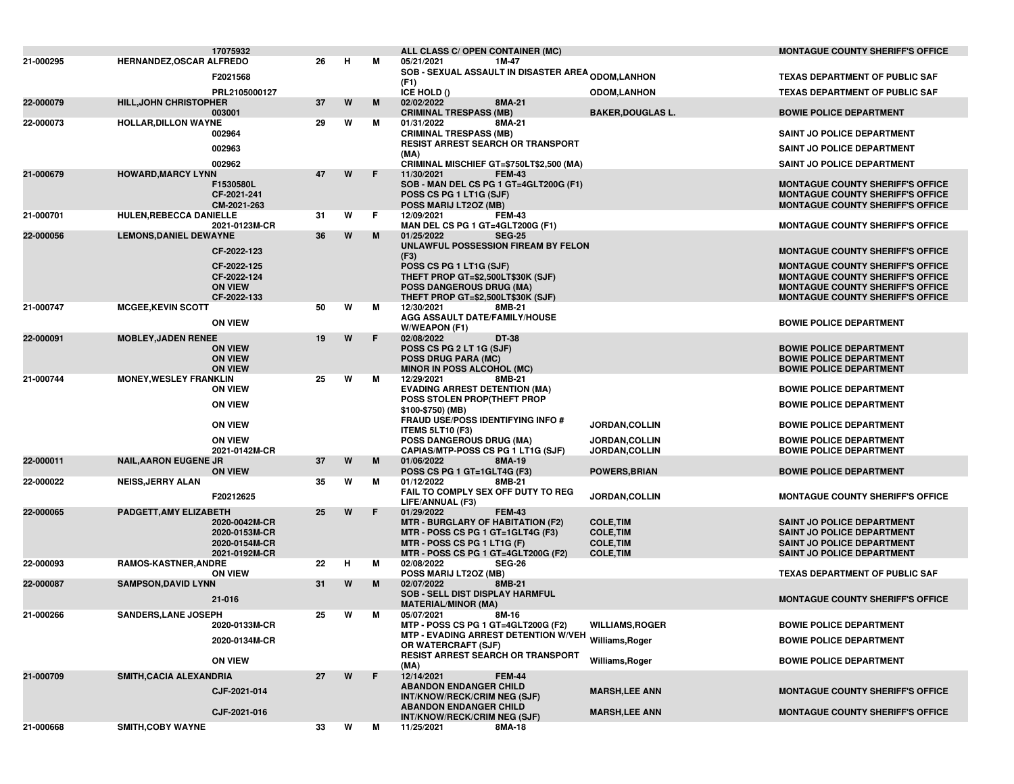|           |                                 | 17075932                         |    |   |    | ALL CLASS C/ OPEN CONTAINER (MC)                                                            |                                      | <b>MONTAGUE COUNTY SHERIFF'S OFFICE</b>                                            |
|-----------|---------------------------------|----------------------------------|----|---|----|---------------------------------------------------------------------------------------------|--------------------------------------|------------------------------------------------------------------------------------|
| 21-000295 | <b>HERNANDEZ, OSCAR ALFREDO</b> |                                  | 26 | н | м  | 1M-47<br>05/21/2021                                                                         |                                      |                                                                                    |
|           |                                 | F2021568                         |    |   |    | <b>SOB - SEXUAL ASSAULT IN DISASTER AREA <sub>ODOM,</sub>LANHON</b><br>(F1)                 |                                      | <b>TEXAS DEPARTMENT OF PUBLIC SAF</b>                                              |
|           |                                 | PRL2105000127                    |    |   |    | ICE HOLD ()                                                                                 | <b>ODOM,LANHON</b>                   | <b>TEXAS DEPARTMENT OF PUBLIC SAF</b>                                              |
| 22-000079 | <b>HILL, JOHN CHRISTOPHER</b>   |                                  | 37 | W | M  | 02/02/2022<br>8MA-21                                                                        |                                      |                                                                                    |
|           |                                 | 003001                           |    |   |    | <b>CRIMINAL TRESPASS (MB)</b>                                                               | <b>BAKER, DOUGLAS L.</b>             | <b>BOWIE POLICE DEPARTMENT</b>                                                     |
| 22-000073 | <b>HOLLAR, DILLON WAYNE</b>     | 002964                           | 29 | W | м  | 01/31/2022<br>8MA-21<br><b>CRIMINAL TRESPASS (MB)</b>                                       |                                      |                                                                                    |
|           |                                 |                                  |    |   |    | <b>RESIST ARREST SEARCH OR TRANSPORT</b>                                                    |                                      | SAINT JO POLICE DEPARTMENT                                                         |
|           |                                 | 002963                           |    |   |    | (MA)                                                                                        |                                      | SAINT JO POLICE DEPARTMENT                                                         |
|           |                                 | 002962                           |    |   |    | CRIMINAL MISCHIEF GT=\$750LT\$2,500 (MA)                                                    |                                      | SAINT JO POLICE DEPARTMENT                                                         |
| 21-000679 | <b>HOWARD, MARCY LYNN</b>       |                                  | 47 | W | F  | 11/30/2021<br><b>FEM-43</b>                                                                 |                                      |                                                                                    |
|           |                                 | F1530580L<br>CF-2021-241         |    |   |    | SOB - MAN DEL CS PG 1 GT=4GLT200G (F1)<br>POSS CS PG 1 LT1G (SJF)                           |                                      | <b>MONTAGUE COUNTY SHERIFF'S OFFICE</b><br><b>MONTAGUE COUNTY SHERIFF'S OFFICE</b> |
|           |                                 | CM-2021-263                      |    |   |    | POSS MARIJ LT2OZ (MB)                                                                       |                                      | <b>MONTAGUE COUNTY SHERIFF'S OFFICE</b>                                            |
| 21-000701 | HULEN, REBECCA DANIELLE         |                                  | 31 | W | F. | 12/09/2021<br><b>FEM-43</b>                                                                 |                                      |                                                                                    |
|           |                                 | 2021-0123M-CR                    |    |   |    | MAN DEL CS PG 1 GT=4GLT200G (F1)                                                            |                                      | <b>MONTAGUE COUNTY SHERIFF'S OFFICE</b>                                            |
| 22-000056 | <b>LEMONS, DANIEL DEWAYNE</b>   |                                  | 36 | W | M  | <b>SEG-25</b><br>01/25/2022                                                                 |                                      |                                                                                    |
|           |                                 | CF-2022-123                      |    |   |    | UNLAWFUL POSSESSION FIREAM BY FELON<br>(F3)                                                 |                                      | <b>MONTAGUE COUNTY SHERIFF'S OFFICE</b>                                            |
|           |                                 | CF-2022-125                      |    |   |    | POSS CS PG 1 LT1G (SJF)                                                                     |                                      | <b>MONTAGUE COUNTY SHERIFF'S OFFICE</b>                                            |
|           |                                 | CF-2022-124                      |    |   |    | THEFT PROP GT=\$2,500LT\$30K (SJF)                                                          |                                      | <b>MONTAGUE COUNTY SHERIFF'S OFFICE</b>                                            |
|           |                                 | <b>ON VIEW</b>                   |    |   |    | <b>POSS DANGEROUS DRUG (MA)</b>                                                             |                                      | <b>MONTAGUE COUNTY SHERIFF'S OFFICE</b>                                            |
| 21-000747 | <b>MCGEE, KEVIN SCOTT</b>       | CF-2022-133                      | 50 | W | м  | THEFT PROP GT=\$2,500LT\$30K (SJF)<br>8MB-21<br>12/30/2021                                  |                                      | <b>MONTAGUE COUNTY SHERIFF'S OFFICE</b>                                            |
|           |                                 |                                  |    |   |    | AGG ASSAULT DATE/FAMILY/HOUSE                                                               |                                      |                                                                                    |
|           |                                 | <b>ON VIEW</b>                   |    |   |    | W/WEAPON (F1)                                                                               |                                      | <b>BOWIE POLICE DEPARTMENT</b>                                                     |
| 22-000091 | <b>MOBLEY, JADEN RENEE</b>      |                                  | 19 | W | F  | DT-38<br>02/08/2022                                                                         |                                      |                                                                                    |
|           |                                 | <b>ON VIEW</b>                   |    |   |    | POSS CS PG 2 LT 1G (SJF)                                                                    |                                      | <b>BOWIE POLICE DEPARTMENT</b><br><b>BOWIE POLICE DEPARTMENT</b>                   |
|           |                                 | <b>ON VIEW</b><br><b>ON VIEW</b> |    |   |    | <b>POSS DRUG PARA (MC)</b><br><b>MINOR IN POSS ALCOHOL (MC)</b>                             |                                      | <b>BOWIE POLICE DEPARTMENT</b>                                                     |
| 21-000744 | <b>MONEY, WESLEY FRANKLIN</b>   |                                  | 25 | W | м  | 12/29/2021<br>8MB-21                                                                        |                                      |                                                                                    |
|           |                                 | <b>ON VIEW</b>                   |    |   |    | <b>EVADING ARREST DETENTION (MA)</b>                                                        |                                      | <b>BOWIE POLICE DEPARTMENT</b>                                                     |
|           |                                 | <b>ON VIEW</b>                   |    |   |    | POSS STOLEN PROP(THEFT PROP                                                                 |                                      | <b>BOWIE POLICE DEPARTMENT</b>                                                     |
|           |                                 |                                  |    |   |    | \$100-\$750) (MB)<br><b>FRAUD USE/POSS IDENTIFYING INFO #</b>                               |                                      |                                                                                    |
|           |                                 | <b>ON VIEW</b>                   |    |   |    | <b>ITEMS 5LT10 (F3)</b>                                                                     | JORDAN, COLLIN                       | <b>BOWIE POLICE DEPARTMENT</b>                                                     |
|           |                                 | <b>ON VIEW</b>                   |    |   |    | <b>POSS DANGEROUS DRUG (MA)</b>                                                             | <b>JORDAN,COLLIN</b>                 | <b>BOWIE POLICE DEPARTMENT</b>                                                     |
|           |                                 | 2021-0142M-CR                    |    |   |    | CAPIAS/MTP-POSS CS PG 1 LT1G (SJF)                                                          | <b>JORDAN,COLLIN</b>                 | <b>BOWIE POLICE DEPARTMENT</b>                                                     |
| 22-000011 | <b>NAIL, AARON EUGENE JR</b>    | <b>ON VIEW</b>                   | 37 | W | M  | 01/06/2022<br>8MA-19<br>POSS CS PG 1 GT=1GLT4G (F3)                                         | <b>POWERS, BRIAN</b>                 | <b>BOWIE POLICE DEPARTMENT</b>                                                     |
| 22-000022 | <b>NEISS, JERRY ALAN</b>        |                                  | 35 | W | м  | 01/12/2022<br>8MB-21                                                                        |                                      |                                                                                    |
|           |                                 | F20212625                        |    |   |    | FAIL TO COMPLY SEX OFF DUTY TO REG                                                          |                                      |                                                                                    |
|           |                                 |                                  |    |   |    | LIFE/ANNUAL (F3)                                                                            | <b>JORDAN,COLLIN</b>                 | <b>MONTAGUE COUNTY SHERIFF'S OFFICE</b>                                            |
| 22-000065 | PADGETT, AMY ELIZABETH          |                                  | 25 | W | F  | 01/29/2022<br><b>FEM-43</b>                                                                 |                                      |                                                                                    |
|           |                                 | 2020-0042M-CR<br>2020-0153M-CR   |    |   |    | <b>MTR - BURGLARY OF HABITATION (F2)</b><br>MTR - POSS CS PG 1 GT=1GLT4G (F3)               | <b>COLE, TIM</b><br><b>COLE, TIM</b> | <b>SAINT JO POLICE DEPARTMENT</b><br><b>SAINT JO POLICE DEPARTMENT</b>             |
|           |                                 | 2020-0154M-CR                    |    |   |    | MTR - POSS CS PG 1 LT1G (F)                                                                 | <b>COLE, TIM</b>                     | <b>SAINT JO POLICE DEPARTMENT</b>                                                  |
|           |                                 | 2021-0192M-CR                    |    |   |    | MTR - POSS CS PG 1 GT=4GLT200G (F2)                                                         | <b>COLE, TIM</b>                     | <b>SAINT JO POLICE DEPARTMENT</b>                                                  |
| 22-000093 | <b>RAMOS-KASTNER, ANDRE</b>     |                                  | 22 | н | м  | 02/08/2022<br><b>SEG-26</b>                                                                 |                                      |                                                                                    |
| 22-000087 | <b>SAMPSON, DAVID LYNN</b>      | <b>ON VIEW</b>                   | 31 | W | М  | POSS MARIJ LT2OZ (MB)<br>02/07/2022<br>8MB-21                                               |                                      | <b>TEXAS DEPARTMENT OF PUBLIC SAF</b>                                              |
|           |                                 |                                  |    |   |    | <b>SOB - SELL DIST DISPLAY HARMFUL</b>                                                      |                                      |                                                                                    |
|           |                                 | 21-016                           |    |   |    | <b>MATERIAL/MINOR (MA)</b>                                                                  |                                      | <b>MONTAGUE COUNTY SHERIFF'S OFFICE</b>                                            |
| 21-000266 | <b>SANDERS, LANE JOSEPH</b>     |                                  | 25 | W | м  | 05/07/2021<br>8M-16                                                                         |                                      |                                                                                    |
|           |                                 | 2020-0133M-CR                    |    |   |    | MTP - POSS CS PG 1 GT=4GLT200G (F2)<br>MTP - EVADING ARREST DETENTION W/VEH Williams, Roger | <b>WILLIAMS, ROGER</b>               | <b>BOWIE POLICE DEPARTMENT</b>                                                     |
|           |                                 | 2020-0134M-CR                    |    |   |    | OR WATERCRAFT (SJF)                                                                         |                                      | <b>BOWIE POLICE DEPARTMENT</b>                                                     |
|           |                                 | <b>ON VIEW</b>                   |    |   |    | <b>RESIST ARREST SEARCH OR TRANSPORT</b>                                                    | Williams, Roger                      | <b>BOWIE POLICE DEPARTMENT</b>                                                     |
|           |                                 |                                  |    |   |    | (MA)                                                                                        |                                      |                                                                                    |
| 21-000709 | SMITH, CACIA ALEXANDRIA         |                                  | 27 | W | F  | 12/14/2021<br><b>FEM-44</b><br><b>ABANDON ENDANGER CHILD</b>                                |                                      |                                                                                    |
|           |                                 | CJF-2021-014                     |    |   |    | INT/KNOW/RECK/CRIM NEG (SJF)                                                                | <b>MARSH, LEE ANN</b>                | <b>MONTAGUE COUNTY SHERIFF'S OFFICE</b>                                            |
|           |                                 | CJF-2021-016                     |    |   |    | <b>ABANDON ENDANGER CHILD</b>                                                               | <b>MARSH,LEE ANN</b>                 |                                                                                    |
|           |                                 |                                  |    |   |    | INT/KNOW/RECK/CRIM NEG (SJF)                                                                |                                      | <b>MONTAGUE COUNTY SHERIFF'S OFFICE</b>                                            |
| 21-000668 | <b>SMITH, COBY WAYNE</b>        |                                  | 33 | W | м  | 11/25/2021<br>8MA-18                                                                        |                                      |                                                                                    |